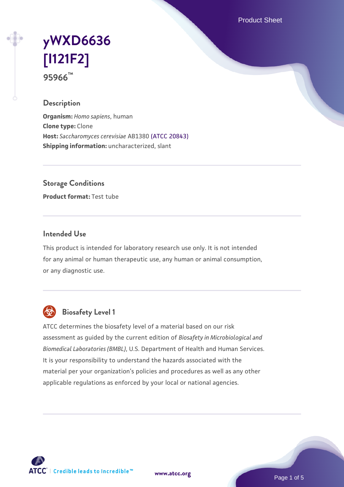Product Sheet

# **[yWXD6636](https://www.atcc.org/products/95966) [\[I121F2\]](https://www.atcc.org/products/95966) 95966™**

#### **Description**

**Organism:** *Homo sapiens*, human **Clone type:** Clone **Host:** *Saccharomyces cerevisiae* AB1380 [\(ATCC 20843\)](https://www.atcc.org/products/20843) **Shipping information:** uncharacterized, slant

**Storage Conditions**

**Product format:** Test tube

#### **Intended Use**

This product is intended for laboratory research use only. It is not intended for any animal or human therapeutic use, any human or animal consumption, or any diagnostic use.



### **Biosafety Level 1**

ATCC determines the biosafety level of a material based on our risk assessment as guided by the current edition of *Biosafety in Microbiological and Biomedical Laboratories (BMBL)*, U.S. Department of Health and Human Services. It is your responsibility to understand the hazards associated with the material per your organization's policies and procedures as well as any other applicable regulations as enforced by your local or national agencies.

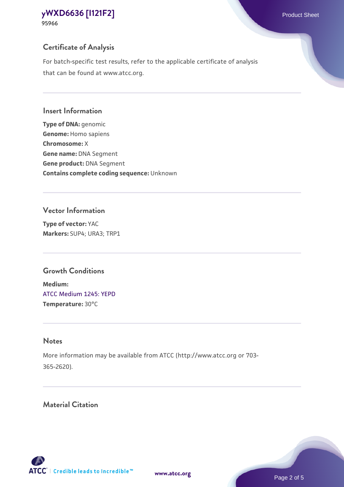#### **Certificate of Analysis**

For batch-specific test results, refer to the applicable certificate of analysis that can be found at www.atcc.org.

#### **Insert Information**

**Type of DNA:** genomic **Genome:** Homo sapiens **Chromosome:** X **Gene name:** DNA Segment **Gene product:** DNA Segment **Contains complete coding sequence:** Unknown

#### **Vector Information**

**Type of vector:** YAC **Markers:** SUP4; URA3; TRP1

#### **Growth Conditions**

**Medium:**  [ATCC Medium 1245: YEPD](https://www.atcc.org/-/media/product-assets/documents/microbial-media-formulations/1/2/4/5/atcc-medium-1245.pdf?rev=705ca55d1b6f490a808a965d5c072196) **Temperature:** 30°C

#### **Notes**

More information may be available from ATCC (http://www.atcc.org or 703- 365-2620).

#### **Material Citation**

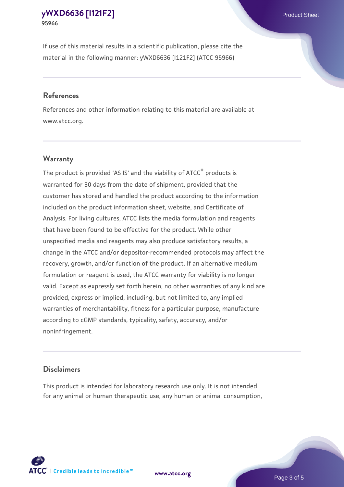If use of this material results in a scientific publication, please cite the material in the following manner: yWXD6636 [I121F2] (ATCC 95966)

#### **References**

References and other information relating to this material are available at www.atcc.org.

#### **Warranty**

The product is provided 'AS IS' and the viability of  $ATCC<sup>®</sup>$  products is warranted for 30 days from the date of shipment, provided that the customer has stored and handled the product according to the information included on the product information sheet, website, and Certificate of Analysis. For living cultures, ATCC lists the media formulation and reagents that have been found to be effective for the product. While other unspecified media and reagents may also produce satisfactory results, a change in the ATCC and/or depositor-recommended protocols may affect the recovery, growth, and/or function of the product. If an alternative medium formulation or reagent is used, the ATCC warranty for viability is no longer valid. Except as expressly set forth herein, no other warranties of any kind are provided, express or implied, including, but not limited to, any implied warranties of merchantability, fitness for a particular purpose, manufacture according to cGMP standards, typicality, safety, accuracy, and/or noninfringement.

#### **Disclaimers**

This product is intended for laboratory research use only. It is not intended for any animal or human therapeutic use, any human or animal consumption,





Page 3 of 5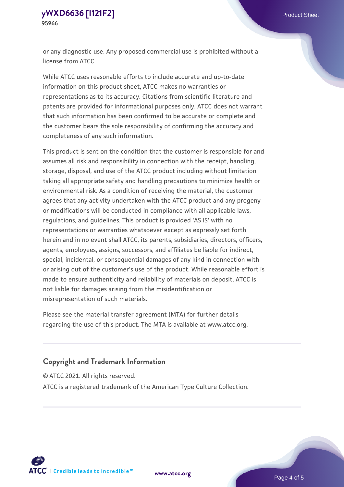or any diagnostic use. Any proposed commercial use is prohibited without a license from ATCC.

While ATCC uses reasonable efforts to include accurate and up-to-date information on this product sheet, ATCC makes no warranties or representations as to its accuracy. Citations from scientific literature and patents are provided for informational purposes only. ATCC does not warrant that such information has been confirmed to be accurate or complete and the customer bears the sole responsibility of confirming the accuracy and completeness of any such information.

This product is sent on the condition that the customer is responsible for and assumes all risk and responsibility in connection with the receipt, handling, storage, disposal, and use of the ATCC product including without limitation taking all appropriate safety and handling precautions to minimize health or environmental risk. As a condition of receiving the material, the customer agrees that any activity undertaken with the ATCC product and any progeny or modifications will be conducted in compliance with all applicable laws, regulations, and guidelines. This product is provided 'AS IS' with no representations or warranties whatsoever except as expressly set forth herein and in no event shall ATCC, its parents, subsidiaries, directors, officers, agents, employees, assigns, successors, and affiliates be liable for indirect, special, incidental, or consequential damages of any kind in connection with or arising out of the customer's use of the product. While reasonable effort is made to ensure authenticity and reliability of materials on deposit, ATCC is not liable for damages arising from the misidentification or misrepresentation of such materials.

Please see the material transfer agreement (MTA) for further details regarding the use of this product. The MTA is available at www.atcc.org.

### **Copyright and Trademark Information**

© ATCC 2021. All rights reserved.

ATCC is a registered trademark of the American Type Culture Collection.



**[www.atcc.org](http://www.atcc.org)**